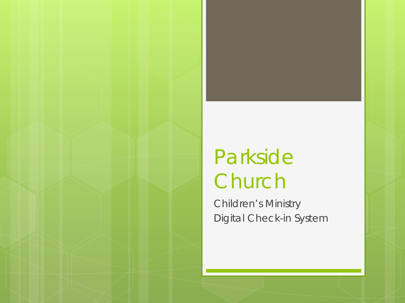## Parkside Church

Children's Ministry Digital Check-in System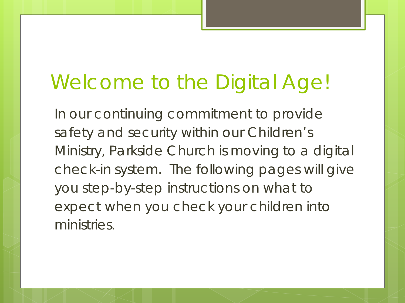## Welcome to the Digital Age!

In our continuing commitment to provide safety and security within our Children's Ministry, Parkside Church is moving to a digital check-in system. The following pages will give you step-by-step instructions on what to expect when you check your children into ministries.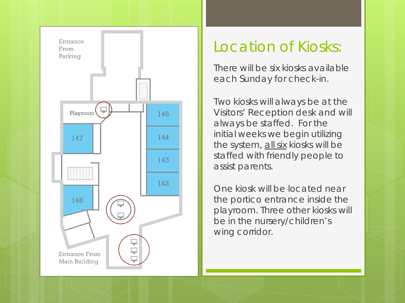

#### Location of Kiosks:

There will be six kiosks available each Sunday for check-in.

Two kiosks will always be at the Visitors' Reception desk and will always be staffed. For the initial weeks we begin utilizing the system, all six kiosks will be staffed with friendly people to assist parents.

One kiosk will be located near the portico entrance inside the playroom. Three other kiosks will be in the nursery/children's wing corridor.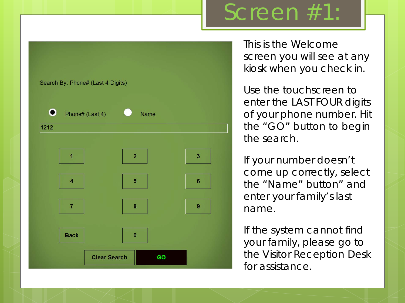#### Search By: Phone# (Last 4 Digits)  $\mathbf \Omega$ Phone# (Last 4) Name 1212  $\overline{2}$ 3 1 5  $6\phantom{1}6$  $\overline{4}$  $\overline{7}$ 8 9 **Back**  $\bf{0}$ **Clear Search** GO

Screen #1:

This is the Welcome screen you will see at any kiosk when you check in.

Use the touchscreen to enter the LAST FOUR digits of your phone number. Hit the "GO" button to begin the search.

If your number doesn't come up correctly, select the "Name" button" and enter your family's last name.

If the system cannot find your family, please go to the Visitor Reception Desk for assistance.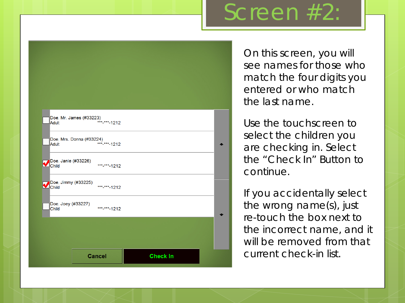### Screen #2



On this screen, you will see names for those who match the four digits you entered or who match the last name.

Use the touchscreen to select the children you are checking in. Select the "Check In" Button to continue.

If you accidentally select the wrong name(s), just re-touch the box next to the incorrect name, and it will be removed from that current check-in list.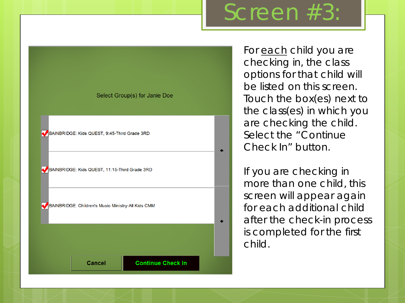### Screen #3:



For each child you are checking in, the class options for that child will be listed on this screen. Touch the box(es) next to the class(es) in which you are checking the child. Select the "Continue Check In" button.

If you are checking in more than one child, this screen will appear again for each additional child after the check-in process is completed for the first child.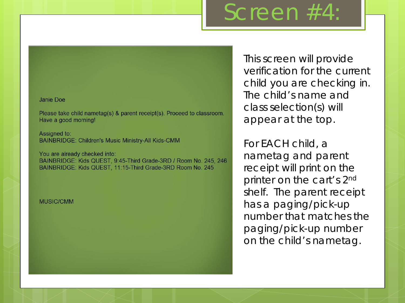#### Screen #4:

Janie Doe

Please take child nametag(s) & parent receipt(s). Proceed to classroom. Have a good morning!

Assigned to: **BAINBRIDGE: Children's Music Ministry-All Kids-CMM** 

You are already checked into: BAINBRIDGE: Kids QUEST, 9:45-Third Grade-3RD / Room No. 245, 246 BAINBRIDGE: Kids QUEST, 11:15-Third Grade-3RD Room No. 245

**MUSIC/CMM** 

This screen will provide verification for the current child you are checking in. The child's name and class selection(s) will appear at the top.

For EACH child, a nametag and parent receipt will print on the printer on the cart's 2<sup>nd</sup> shelf. The parent receipt has a paging/pick-up number that matches the paging/pick-up number on the child's nametag.